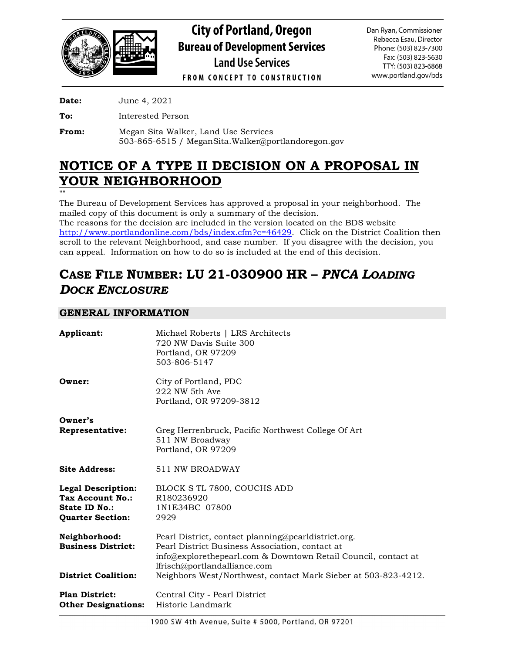

# **City of Portland, Oregon Bureau of Development Services Land Use Services**

Dan Ryan, Commissioner Rebecca Esau, Director Phone: (503) 823-7300 Fax: (503) 823-5630 TTY: (503) 823-6868 www.portland.gov/bds

**FROM CONCEPT TO CONSTRUCTION** 

**Date:** June 4, 2021

**To:** Interested Person

**From:** Megan Sita Walker, Land Use Services 503-865-6515 / MeganSita.Walker@portlandoregon.gov

## **NOTICE OF A TYPE II DECISION ON A PROPOSAL IN YOUR NEIGHBORHOOD**

""

The Bureau of Development Services has approved a proposal in your neighborhood. The mailed copy of this document is only a summary of the decision.

The reasons for the decision are included in the version located on the BDS website [http://www.portlandonline.com/bds/index.cfm?c=46429.](http://www.portlandonline.com/bds/index.cfm?c=46429) Click on the District Coalition then scroll to the relevant Neighborhood, and case number. If you disagree with the decision, you can appeal. Information on how to do so is included at the end of this decision.

## **CASE FILE NUMBER: LU 21-030900 HR –** *PNCA LOADING DOCK ENCLOSURE*

## **GENERAL INFORMATION**

| Applicant:                                                                                | Michael Roberts   LRS Architects<br>720 NW Davis Suite 300<br>Portland, OR 97209<br>503-806-5147                                                                                                                                                                           |
|-------------------------------------------------------------------------------------------|----------------------------------------------------------------------------------------------------------------------------------------------------------------------------------------------------------------------------------------------------------------------------|
| Owner:                                                                                    | City of Portland, PDC<br>222 NW 5th Ave<br>Portland, OR 97209-3812                                                                                                                                                                                                         |
| Owner's<br>Representative:                                                                | Greg Herrenbruck, Pacific Northwest College Of Art<br>511 NW Broadway<br>Portland, OR 97209                                                                                                                                                                                |
| <b>Site Address:</b>                                                                      | 511 NW BROADWAY                                                                                                                                                                                                                                                            |
| <b>Legal Description:</b><br>Tax Account No.:<br>State ID No.:<br><b>Quarter Section:</b> | BLOCK S TL 7800, COUCHS ADD<br>R180236920<br>1N1E34BC 07800<br>2929                                                                                                                                                                                                        |
| Neighborhood:<br><b>Business District:</b><br><b>District Coalition:</b>                  | Pearl District, contact planning@pearldistrict.org.<br>Pearl District Business Association, contact at<br>info@explorethepearl.com & Downtown Retail Council, contact at<br>lfrisch@portlandalliance.com<br>Neighbors West/Northwest, contact Mark Sieber at 503-823-4212. |
| <b>Plan District:</b><br><b>Other Designations:</b>                                       | Central City - Pearl District<br>Historic Landmark                                                                                                                                                                                                                         |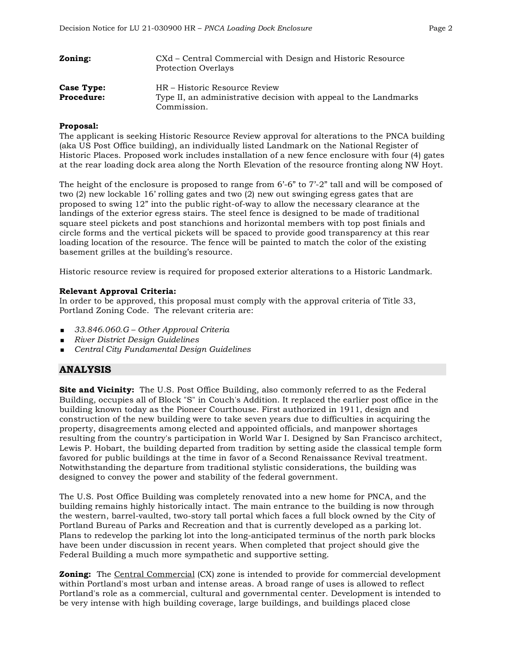| Zoning:           | CXd – Central Commercial with Design and Historic Resource<br><b>Protection Overlays</b> |
|-------------------|------------------------------------------------------------------------------------------|
| Case Type:        | HR – Historic Resource Review                                                            |
| <b>Procedure:</b> | Type II, an administrative decision with appeal to the Landmarks<br>Commission.          |

#### **Proposal:**

The applicant is seeking Historic Resource Review approval for alterations to the PNCA building (aka US Post Office building), an individually listed Landmark on the National Register of Historic Places. Proposed work includes installation of a new fence enclosure with four (4) gates at the rear loading dock area along the North Elevation of the resource fronting along NW Hoyt.

The height of the enclosure is proposed to range from 6'-6" to 7'-2" tall and will be composed of two (2) new lockable 16' rolling gates and two (2) new out swinging egress gates that are proposed to swing 12" into the public right-of-way to allow the necessary clearance at the landings of the exterior egress stairs. The steel fence is designed to be made of traditional square steel pickets and post stanchions and horizontal members with top post finials and circle forms and the vertical pickets will be spaced to provide good transparency at this rear loading location of the resource. The fence will be painted to match the color of the existing basement grilles at the building's resource.

Historic resource review is required for proposed exterior alterations to a Historic Landmark.

#### **Relevant Approval Criteria:**

In order to be approved, this proposal must comply with the approval criteria of Title 33, Portland Zoning Code. The relevant criteria are:

- *33.846.060.G – Other Approval Criteria*
- *River District Design Guidelines*
- *Central City Fundamental Design Guidelines*

## **ANALYSIS**

**Site and Vicinity:** The U.S. Post Office Building, also commonly referred to as the Federal Building, occupies all of Block "S" in Couch's Addition. It replaced the earlier post office in the building known today as the Pioneer Courthouse. First authorized in 1911, design and construction of the new building were to take seven years due to difficulties in acquiring the property, disagreements among elected and appointed officials, and manpower shortages resulting from the country's participation in World War I. Designed by San Francisco architect, Lewis P. Hobart, the building departed from tradition by setting aside the classical temple form favored for public buildings at the time in favor of a Second Renaissance Revival treatment. Notwithstanding the departure from traditional stylistic considerations, the building was designed to convey the power and stability of the federal government.

The U.S. Post Office Building was completely renovated into a new home for PNCA, and the building remains highly historically intact. The main entrance to the building is now through the western, barrel-vaulted, two-story tall portal which faces a full block owned by the City of Portland Bureau of Parks and Recreation and that is currently developed as a parking lot. Plans to redevelop the parking lot into the long-anticipated terminus of the north park blocks have been under discussion in recent years. When completed that project should give the Federal Building a much more sympathetic and supportive setting.

**Zoning:** The Central Commercial (CX) zone is intended to provide for commercial development within Portland's most urban and intense areas. A broad range of uses is allowed to reflect Portland's role as a commercial, cultural and governmental center. Development is intended to be very intense with high building coverage, large buildings, and buildings placed close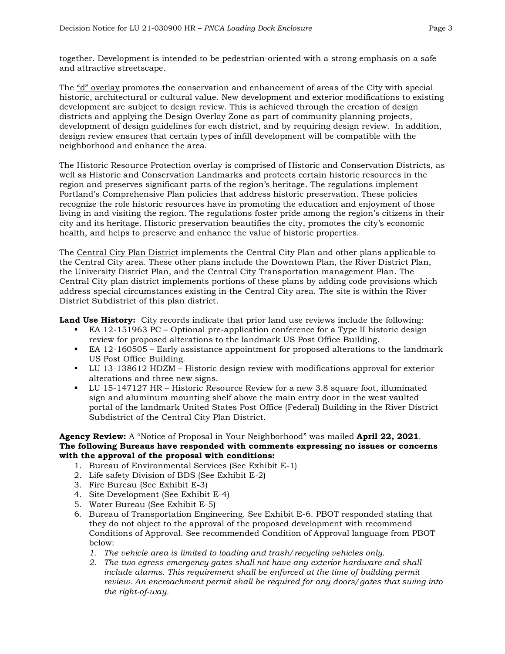together. Development is intended to be pedestrian-oriented with a strong emphasis on a safe and attractive streetscape.

The "d" overlay promotes the conservation and enhancement of areas of the City with special historic, architectural or cultural value. New development and exterior modifications to existing development are subject to design review. This is achieved through the creation of design districts and applying the Design Overlay Zone as part of community planning projects, development of design guidelines for each district, and by requiring design review. In addition, design review ensures that certain types of infill development will be compatible with the neighborhood and enhance the area.

The Historic Resource Protection overlay is comprised of Historic and Conservation Districts, as well as Historic and Conservation Landmarks and protects certain historic resources in the region and preserves significant parts of the region's heritage. The regulations implement Portland's Comprehensive Plan policies that address historic preservation. These policies recognize the role historic resources have in promoting the education and enjoyment of those living in and visiting the region. The regulations foster pride among the region's citizens in their city and its heritage. Historic preservation beautifies the city, promotes the city's economic health, and helps to preserve and enhance the value of historic properties.

The Central City Plan District implements the Central City Plan and other plans applicable to the Central City area. These other plans include the Downtown Plan, the River District Plan, the University District Plan, and the Central City Transportation management Plan. The Central City plan district implements portions of these plans by adding code provisions which address special circumstances existing in the Central City area. The site is within the River District Subdistrict of this plan district.

**Land Use History:** City records indicate that prior land use reviews include the following:

- EA 12-151963 PC Optional pre-application conference for a Type II historic design review for proposed alterations to the landmark US Post Office Building.
- EA 12-160505 Early assistance appointment for proposed alterations to the landmark US Post Office Building.
- LU 13-138612 HDZM Historic design review with modifications approval for exterior alterations and three new signs.
- LU 15-147127 HR Historic Resource Review for a new 3.8 square foot, illuminated sign and aluminum mounting shelf above the main entry door in the west vaulted portal of the landmark United States Post Office (Federal) Building in the River District Subdistrict of the Central City Plan District.

#### **Agency Review:** A "Notice of Proposal in Your Neighborhood" was mailed **April 22, 2021**. **The following Bureaus have responded with comments expressing no issues or concerns with the approval of the proposal with conditions:**

- 1. Bureau of Environmental Services (See Exhibit E-1)
- 2. Life safety Division of BDS (See Exhibit E-2)
- 3. Fire Bureau (See Exhibit E-3)
- 4. Site Development (See Exhibit E-4)
- 5. Water Bureau (See Exhibit E-5)
- 6. Bureau of Transportation Engineering. See Exhibit E-6. PBOT responded stating that they do not object to the approval of the proposed development with recommend Conditions of Approval. See recommended Condition of Approval language from PBOT below:
	- *1. The vehicle area is limited to loading and trash/recycling vehicles only.*
	- *2. The two egress emergency gates shall not have any exterior hardware and shall include alarms. This requirement shall be enforced at the time of building permit review. An encroachment permit shall be required for any doors/gates that swing into the right-of-way.*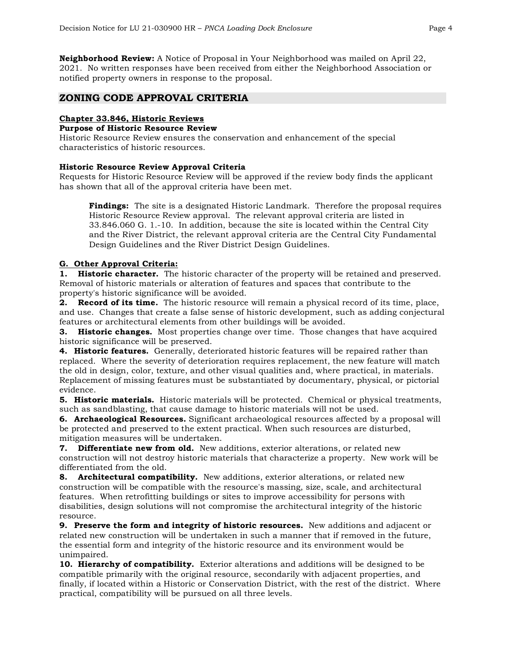**Neighborhood Review:** A Notice of Proposal in Your Neighborhood was mailed on April 22, 2021. No written responses have been received from either the Neighborhood Association or notified property owners in response to the proposal.

### **ZONING CODE APPROVAL CRITERIA**

#### **Chapter 33.846, Historic Reviews**

#### **Purpose of Historic Resource Review**

Historic Resource Review ensures the conservation and enhancement of the special characteristics of historic resources.

#### **Historic Resource Review Approval Criteria**

Requests for Historic Resource Review will be approved if the review body finds the applicant has shown that all of the approval criteria have been met.

**Findings:** The site is a designated Historic Landmark. Therefore the proposal requires Historic Resource Review approval. The relevant approval criteria are listed in 33.846.060 G. 1.-10. In addition, because the site is located within the Central City and the River District, the relevant approval criteria are the Central City Fundamental Design Guidelines and the River District Design Guidelines.

#### **G. Other Approval Criteria:**

**1. Historic character.** The historic character of the property will be retained and preserved. Removal of historic materials or alteration of features and spaces that contribute to the property's historic significance will be avoided.

**2. Record of its time.** The historic resource will remain a physical record of its time, place, and use. Changes that create a false sense of historic development, such as adding conjectural features or architectural elements from other buildings will be avoided.

**3. Historic changes.** Most properties change over time. Those changes that have acquired historic significance will be preserved.

**4. Historic features.** Generally, deteriorated historic features will be repaired rather than replaced. Where the severity of deterioration requires replacement, the new feature will match the old in design, color, texture, and other visual qualities and, where practical, in materials. Replacement of missing features must be substantiated by documentary, physical, or pictorial evidence.

**5. Historic materials.** Historic materials will be protected. Chemical or physical treatments, such as sandblasting, that cause damage to historic materials will not be used.

**6. Archaeological Resources.** Significant archaeological resources affected by a proposal will be protected and preserved to the extent practical. When such resources are disturbed, mitigation measures will be undertaken.

**7. Differentiate new from old.** New additions, exterior alterations, or related new construction will not destroy historic materials that characterize a property. New work will be differentiated from the old.

**8. Architectural compatibility.** New additions, exterior alterations, or related new construction will be compatible with the resource's massing, size, scale, and architectural features. When retrofitting buildings or sites to improve accessibility for persons with disabilities, design solutions will not compromise the architectural integrity of the historic resource.

**9. Preserve the form and integrity of historic resources.** New additions and adjacent or related new construction will be undertaken in such a manner that if removed in the future, the essential form and integrity of the historic resource and its environment would be unimpaired.

**10. Hierarchy of compatibility.** Exterior alterations and additions will be designed to be compatible primarily with the original resource, secondarily with adjacent properties, and finally, if located within a Historic or Conservation District, with the rest of the district. Where practical, compatibility will be pursued on all three levels.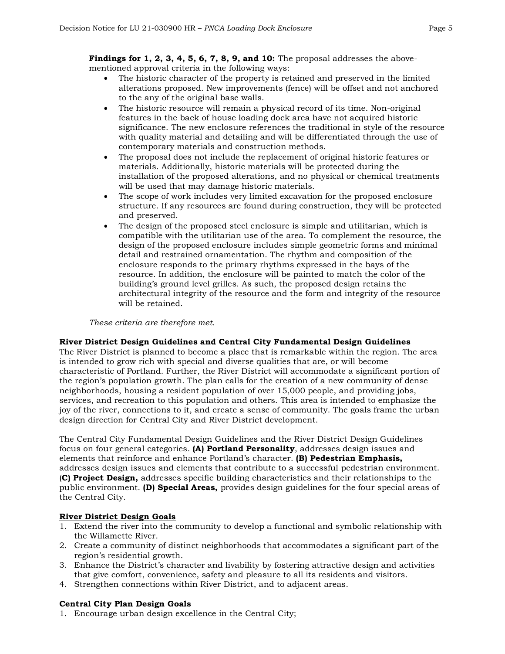**Findings for 1, 2, 3, 4, 5, 6, 7, 8, 9, and 10:** The proposal addresses the abovementioned approval criteria in the following ways:

- The historic character of the property is retained and preserved in the limited alterations proposed. New improvements (fence) will be offset and not anchored to the any of the original base walls.
- The historic resource will remain a physical record of its time. Non-original features in the back of house loading dock area have not acquired historic significance. The new enclosure references the traditional in style of the resource with quality material and detailing and will be differentiated through the use of contemporary materials and construction methods.
- The proposal does not include the replacement of original historic features or materials. Additionally, historic materials will be protected during the installation of the proposed alterations, and no physical or chemical treatments will be used that may damage historic materials.
- The scope of work includes very limited excavation for the proposed enclosure structure. If any resources are found during construction, they will be protected and preserved.
- The design of the proposed steel enclosure is simple and utilitarian, which is compatible with the utilitarian use of the area. To complement the resource, the design of the proposed enclosure includes simple geometric forms and minimal detail and restrained ornamentation. The rhythm and composition of the enclosure responds to the primary rhythms expressed in the bays of the resource. In addition, the enclosure will be painted to match the color of the building's ground level grilles. As such, the proposed design retains the architectural integrity of the resource and the form and integrity of the resource will be retained.

### *These criteria are therefore met.*

## **River District Design Guidelines and Central City Fundamental Design Guidelines**

The River District is planned to become a place that is remarkable within the region. The area is intended to grow rich with special and diverse qualities that are, or will become characteristic of Portland. Further, the River District will accommodate a significant portion of the region's population growth. The plan calls for the creation of a new community of dense neighborhoods, housing a resident population of over 15,000 people, and providing jobs, services, and recreation to this population and others. This area is intended to emphasize the joy of the river, connections to it, and create a sense of community. The goals frame the urban design direction for Central City and River District development.

The Central City Fundamental Design Guidelines and the River District Design Guidelines focus on four general categories. **(A) Portland Personality**, addresses design issues and elements that reinforce and enhance Portland's character. **(B) Pedestrian Emphasis,**  addresses design issues and elements that contribute to a successful pedestrian environment. (**C) Project Design,** addresses specific building characteristics and their relationships to the public environment. **(D) Special Areas,** provides design guidelines for the four special areas of the Central City.

### **River District Design Goals**

- 1. Extend the river into the community to develop a functional and symbolic relationship with the Willamette River.
- 2. Create a community of distinct neighborhoods that accommodates a significant part of the region's residential growth.
- 3. Enhance the District's character and livability by fostering attractive design and activities that give comfort, convenience, safety and pleasure to all its residents and visitors.
- 4. Strengthen connections within River District, and to adjacent areas.

## **Central City Plan Design Goals**

1. Encourage urban design excellence in the Central City;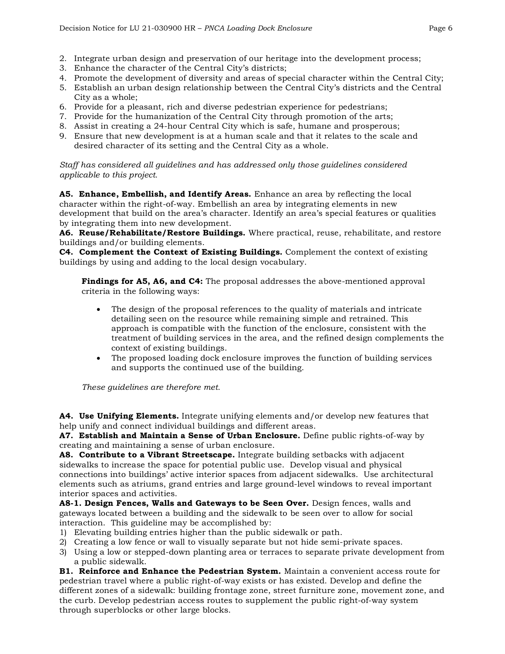- 2. Integrate urban design and preservation of our heritage into the development process;
- 3. Enhance the character of the Central City's districts;
- 4. Promote the development of diversity and areas of special character within the Central City;
- 5. Establish an urban design relationship between the Central City's districts and the Central City as a whole;
- 6. Provide for a pleasant, rich and diverse pedestrian experience for pedestrians;
- 7. Provide for the humanization of the Central City through promotion of the arts;
- 8. Assist in creating a 24-hour Central City which is safe, humane and prosperous;
- 9. Ensure that new development is at a human scale and that it relates to the scale and desired character of its setting and the Central City as a whole.

*Staff has considered all guidelines and has addressed only those guidelines considered applicable to this project.*

**A5. Enhance, Embellish, and Identify Areas.** Enhance an area by reflecting the local character within the right-of-way. Embellish an area by integrating elements in new development that build on the area's character. Identify an area's special features or qualities by integrating them into new development.

**A6. Reuse/Rehabilitate/Restore Buildings.** Where practical, reuse, rehabilitate, and restore buildings and/or building elements.

**C4. Complement the Context of Existing Buildings.** Complement the context of existing buildings by using and adding to the local design vocabulary.

**Findings for A5, A6, and C4:** The proposal addresses the above-mentioned approval criteria in the following ways:

- The design of the proposal references to the quality of materials and intricate detailing seen on the resource while remaining simple and retrained. This approach is compatible with the function of the enclosure, consistent with the treatment of building services in the area, and the refined design complements the context of existing buildings.
- The proposed loading dock enclosure improves the function of building services and supports the continued use of the building.

*These guidelines are therefore met.*

**A4. Use Unifying Elements.** Integrate unifying elements and/or develop new features that help unify and connect individual buildings and different areas.

**A7. Establish and Maintain a Sense of Urban Enclosure.** Define public rights-of-way by creating and maintaining a sense of urban enclosure.

**A8. Contribute to a Vibrant Streetscape.** Integrate building setbacks with adjacent sidewalks to increase the space for potential public use. Develop visual and physical connections into buildings' active interior spaces from adjacent sidewalks. Use architectural elements such as atriums, grand entries and large ground-level windows to reveal important interior spaces and activities.

**A8-1. Design Fences, Walls and Gateways to be Seen Over.** Design fences, walls and gateways located between a building and the sidewalk to be seen over to allow for social interaction. This guideline may be accomplished by:

- 1) Elevating building entries higher than the public sidewalk or path.
- 2) Creating a low fence or wall to visually separate but not hide semi-private spaces.
- 3) Using a low or stepped-down planting area or terraces to separate private development from a public sidewalk.

**B1. Reinforce and Enhance the Pedestrian System.** Maintain a convenient access route for pedestrian travel where a public right-of-way exists or has existed. Develop and define the different zones of a sidewalk: building frontage zone, street furniture zone, movement zone, and the curb. Develop pedestrian access routes to supplement the public right-of-way system through superblocks or other large blocks.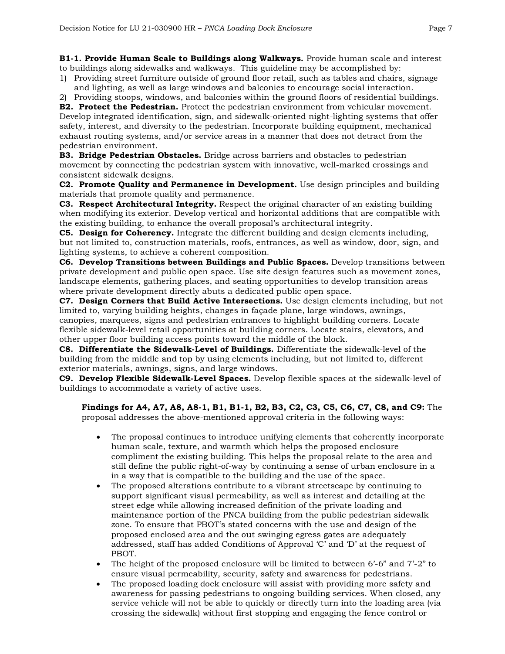**B1-1. Provide Human Scale to Buildings along Walkways.** Provide human scale and interest to buildings along sidewalks and walkways. This guideline may be accomplished by:

1) Providing street furniture outside of ground floor retail, such as tables and chairs, signage and lighting, as well as large windows and balconies to encourage social interaction.

2) Providing stoops, windows, and balconies within the ground floors of residential buildings. **B2. Protect the Pedestrian.** Protect the pedestrian environment from vehicular movement. Develop integrated identification, sign, and sidewalk-oriented night-lighting systems that offer safety, interest, and diversity to the pedestrian. Incorporate building equipment, mechanical exhaust routing systems, and/or service areas in a manner that does not detract from the pedestrian environment.

**B3. Bridge Pedestrian Obstacles.** Bridge across barriers and obstacles to pedestrian movement by connecting the pedestrian system with innovative, well-marked crossings and consistent sidewalk designs.

**C2. Promote Quality and Permanence in Development.** Use design principles and building materials that promote quality and permanence.

**C3. Respect Architectural Integrity.** Respect the original character of an existing building when modifying its exterior. Develop vertical and horizontal additions that are compatible with the existing building, to enhance the overall proposal's architectural integrity.

**C5. Design for Coherency.** Integrate the different building and design elements including, but not limited to, construction materials, roofs, entrances, as well as window, door, sign, and lighting systems, to achieve a coherent composition.

**C6. Develop Transitions between Buildings and Public Spaces.** Develop transitions between private development and public open space. Use site design features such as movement zones, landscape elements, gathering places, and seating opportunities to develop transition areas where private development directly abuts a dedicated public open space.

**C7. Design Corners that Build Active Intersections.** Use design elements including, but not limited to, varying building heights, changes in façade plane, large windows, awnings, canopies, marquees, signs and pedestrian entrances to highlight building corners. Locate flexible sidewalk-level retail opportunities at building corners. Locate stairs, elevators, and other upper floor building access points toward the middle of the block.

**C8. Differentiate the Sidewalk-Level of Buildings.** Differentiate the sidewalk-level of the building from the middle and top by using elements including, but not limited to, different exterior materials, awnings, signs, and large windows.

**C9. Develop Flexible Sidewalk-Level Spaces.** Develop flexible spaces at the sidewalk-level of buildings to accommodate a variety of active uses.

**Findings for A4, A7, A8, A8-1, B1, B1-1, B2, B3, C2, C3, C5, C6, C7, C8, and C9:** The proposal addresses the above-mentioned approval criteria in the following ways:

- The proposal continues to introduce unifying elements that coherently incorporate human scale, texture, and warmth which helps the proposed enclosure compliment the existing building. This helps the proposal relate to the area and still define the public right-of-way by continuing a sense of urban enclosure in a in a way that is compatible to the building and the use of the space.
- The proposed alterations contribute to a vibrant streetscape by continuing to support significant visual permeability, as well as interest and detailing at the street edge while allowing increased definition of the private loading and maintenance portion of the PNCA building from the public pedestrian sidewalk zone. To ensure that PBOT's stated concerns with the use and design of the proposed enclosed area and the out swinging egress gates are adequately addressed, staff has added Conditions of Approval 'C' and 'D' at the request of PBOT.
- The height of the proposed enclosure will be limited to between 6'-6" and 7'-2" to ensure visual permeability, security, safety and awareness for pedestrians.
- The proposed loading dock enclosure will assist with providing more safety and awareness for passing pedestrians to ongoing building services. When closed, any service vehicle will not be able to quickly or directly turn into the loading area (via crossing the sidewalk) without first stopping and engaging the fence control or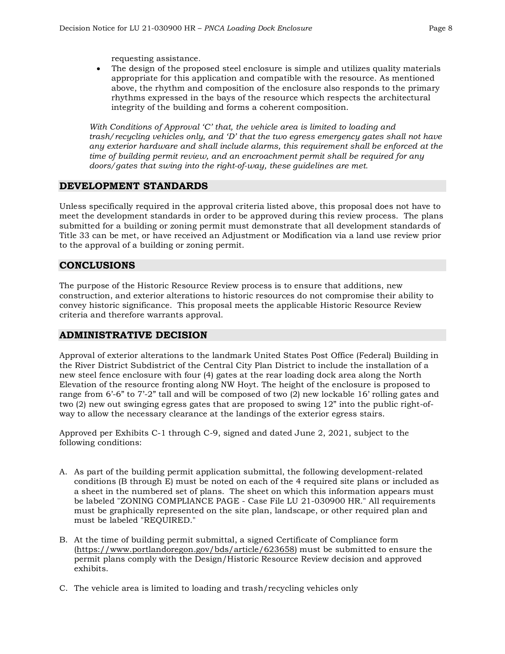requesting assistance.

• The design of the proposed steel enclosure is simple and utilizes quality materials appropriate for this application and compatible with the resource. As mentioned above, the rhythm and composition of the enclosure also responds to the primary rhythms expressed in the bays of the resource which respects the architectural integrity of the building and forms a coherent composition.

*With Conditions of Approval 'C' that, the vehicle area is limited to loading and trash/recycling vehicles only, and 'D' that the two egress emergency gates shall not have any exterior hardware and shall include alarms, this requirement shall be enforced at the time of building permit review, and an encroachment permit shall be required for any doors/gates that swing into the right-of-way, these guidelines are met.*

## **DEVELOPMENT STANDARDS**

Unless specifically required in the approval criteria listed above, this proposal does not have to meet the development standards in order to be approved during this review process. The plans submitted for a building or zoning permit must demonstrate that all development standards of Title 33 can be met, or have received an Adjustment or Modification via a land use review prior to the approval of a building or zoning permit.

## **CONCLUSIONS**

The purpose of the Historic Resource Review process is to ensure that additions, new construction, and exterior alterations to historic resources do not compromise their ability to convey historic significance. This proposal meets the applicable Historic Resource Review criteria and therefore warrants approval.

## **ADMINISTRATIVE DECISION**

Approval of exterior alterations to the landmark United States Post Office (Federal) Building in the River District Subdistrict of the Central City Plan District to include the installation of a new steel fence enclosure with four (4) gates at the rear loading dock area along the North Elevation of the resource fronting along NW Hoyt. The height of the enclosure is proposed to range from 6'-6" to 7'-2" tall and will be composed of two (2) new lockable 16' rolling gates and two (2) new out swinging egress gates that are proposed to swing 12" into the public right-ofway to allow the necessary clearance at the landings of the exterior egress stairs.

Approved per Exhibits C-1 through C-9, signed and dated June 2, 2021, subject to the following conditions:

- A. As part of the building permit application submittal, the following development-related conditions (B through E) must be noted on each of the 4 required site plans or included as a sheet in the numbered set of plans. The sheet on which this information appears must be labeled "ZONING COMPLIANCE PAGE - Case File LU 21-030900 HR." All requirements must be graphically represented on the site plan, landscape, or other required plan and must be labeled "REQUIRED."
- B. At the time of building permit submittal, a signed Certificate of Compliance form [\(https://www.portlandoregon.gov/bds/article/623658\)](https://www.portlandoregon.gov/bds/article/623658) must be submitted to ensure the permit plans comply with the Design/Historic Resource Review decision and approved exhibits.
- C. The vehicle area is limited to loading and trash/recycling vehicles only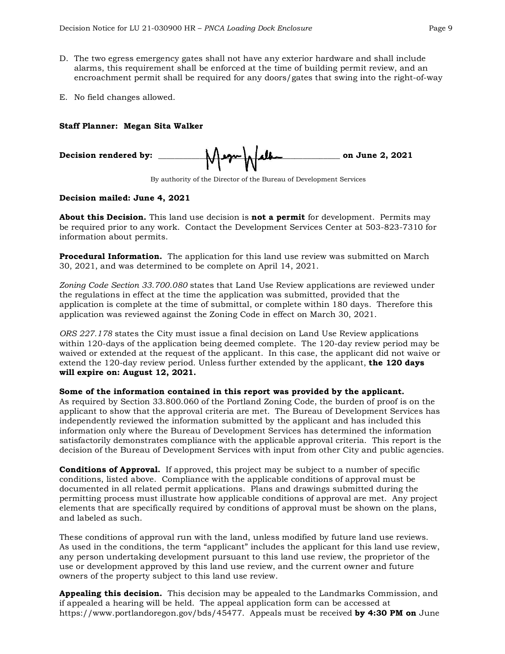- D. The two egress emergency gates shall not have any exterior hardware and shall include alarms, this requirement shall be enforced at the time of building permit review, and an encroachment permit shall be required for any doors/gates that swing into the right-of-way
- E. No field changes allowed.

#### **Staff Planner: Megan Sita Walker**





#### **Decision mailed: June 4, 2021**

**About this Decision.** This land use decision is **not a permit** for development. Permits may be required prior to any work. Contact the Development Services Center at 503-823-7310 for information about permits.

**Procedural Information.** The application for this land use review was submitted on March 30, 2021, and was determined to be complete on April 14, 2021.

*Zoning Code Section 33.700.080* states that Land Use Review applications are reviewed under the regulations in effect at the time the application was submitted, provided that the application is complete at the time of submittal, or complete within 180 days. Therefore this application was reviewed against the Zoning Code in effect on March 30, 2021.

*ORS 227.178* states the City must issue a final decision on Land Use Review applications within 120-days of the application being deemed complete. The 120-day review period may be waived or extended at the request of the applicant. In this case, the applicant did not waive or extend the 120-day review period. Unless further extended by the applicant, **the 120 days will expire on: August 12, 2021.**

#### **Some of the information contained in this report was provided by the applicant.**

As required by Section 33.800.060 of the Portland Zoning Code, the burden of proof is on the applicant to show that the approval criteria are met. The Bureau of Development Services has independently reviewed the information submitted by the applicant and has included this information only where the Bureau of Development Services has determined the information satisfactorily demonstrates compliance with the applicable approval criteria. This report is the decision of the Bureau of Development Services with input from other City and public agencies.

**Conditions of Approval.** If approved, this project may be subject to a number of specific conditions, listed above. Compliance with the applicable conditions of approval must be documented in all related permit applications. Plans and drawings submitted during the permitting process must illustrate how applicable conditions of approval are met. Any project elements that are specifically required by conditions of approval must be shown on the plans, and labeled as such.

These conditions of approval run with the land, unless modified by future land use reviews. As used in the conditions, the term "applicant" includes the applicant for this land use review, any person undertaking development pursuant to this land use review, the proprietor of the use or development approved by this land use review, and the current owner and future owners of the property subject to this land use review.

**Appealing this decision.** This decision may be appealed to the Landmarks Commission, and if appealed a hearing will be held. The appeal application form can be accessed at https://www.portlandoregon.gov/bds/45477. Appeals must be received **by 4:30 PM on** June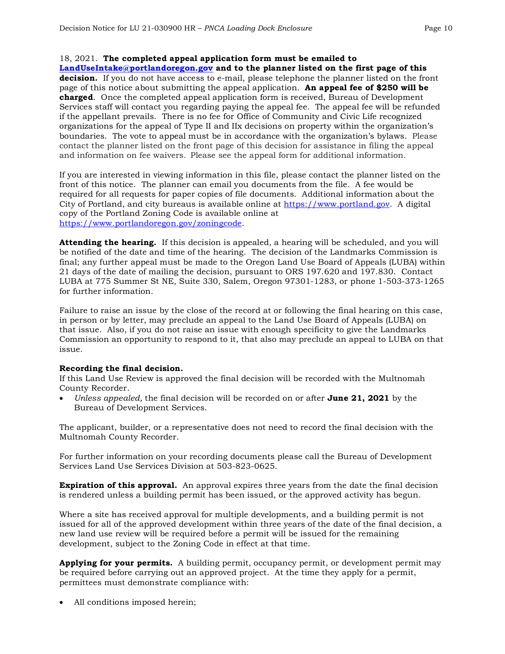#### 18, 2021. **The completed appeal application form must be emailed to**

**[LandUseIntake@portlandoregon.gov](mailto:LandUseIntake@portlandoregon.gov) and to the planner listed on the first page of this decision.** If you do not have access to e-mail, please telephone the planner listed on the front page of this notice about submitting the appeal application. **An appeal fee of \$250 will be charged**. Once the completed appeal application form is received, Bureau of Development Services staff will contact you regarding paying the appeal fee. The appeal fee will be refunded if the appellant prevails. There is no fee for Office of Community and Civic Life recognized organizations for the appeal of Type II and IIx decisions on property within the organization's boundaries. The vote to appeal must be in accordance with the organization's bylaws. Please contact the planner listed on the front page of this decision for assistance in filing the appeal and information on fee waivers. Please see the appeal form for additional information.

If you are interested in viewing information in this file, please contact the planner listed on the front of this notice. The planner can email you documents from the file. A fee would be required for all requests for paper copies of file documents. Additional information about the City of Portland, and city bureaus is available online at [https://www.portland.gov.](https://www.portland.gov/) A digital copy of the Portland Zoning Code is available online at [https://www.portlandoregon.gov/zoningcode.](https://www.portlandoregon.gov/zoningcode)

**Attending the hearing.** If this decision is appealed, a hearing will be scheduled, and you will be notified of the date and time of the hearing. The decision of the Landmarks Commission is final; any further appeal must be made to the Oregon Land Use Board of Appeals (LUBA) within 21 days of the date of mailing the decision, pursuant to ORS 197.620 and 197.830. Contact LUBA at 775 Summer St NE, Suite 330, Salem, Oregon 97301-1283, or phone 1-503-373-1265 for further information.

Failure to raise an issue by the close of the record at or following the final hearing on this case, in person or by letter, may preclude an appeal to the Land Use Board of Appeals (LUBA) on that issue. Also, if you do not raise an issue with enough specificity to give the Landmarks Commission an opportunity to respond to it, that also may preclude an appeal to LUBA on that issue.

#### **Recording the final decision.**

If this Land Use Review is approved the final decision will be recorded with the Multnomah County Recorder.

• *Unless appealed,* the final decision will be recorded on or after **June 21, 2021** by the Bureau of Development Services.

The applicant, builder, or a representative does not need to record the final decision with the Multnomah County Recorder.

For further information on your recording documents please call the Bureau of Development Services Land Use Services Division at 503-823-0625.

**Expiration of this approval.** An approval expires three years from the date the final decision is rendered unless a building permit has been issued, or the approved activity has begun.

Where a site has received approval for multiple developments, and a building permit is not issued for all of the approved development within three years of the date of the final decision, a new land use review will be required before a permit will be issued for the remaining development, subject to the Zoning Code in effect at that time.

**Applying for your permits.** A building permit, occupancy permit, or development permit may be required before carrying out an approved project. At the time they apply for a permit, permittees must demonstrate compliance with:

All conditions imposed herein;